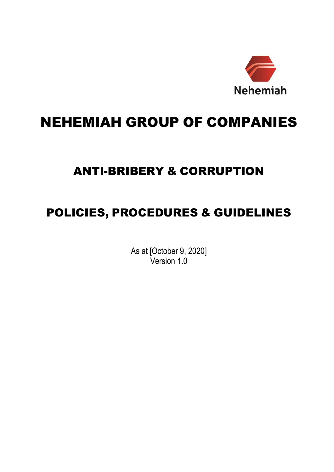

# NEHEMIAH GROUP OF COMPANIES

# ANTI-BRIBERY & CORRUPTION

# POLICIES, PROCEDURES & GUIDELINES

As at [October 9, 2020] Version 1.0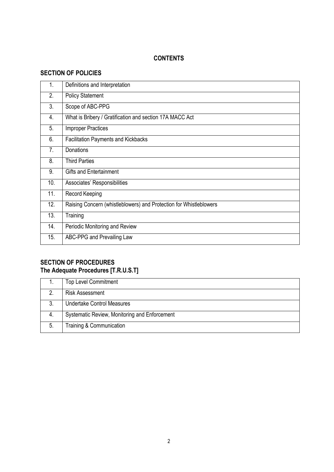## **CONTENTS**

# **SECTION OF POLICIES**

| 1.  | Definitions and Interpretation                                     |
|-----|--------------------------------------------------------------------|
| 2.  | <b>Policy Statement</b>                                            |
| 3.  | Scope of ABC-PPG                                                   |
| 4.  | What is Bribery / Gratification and section 17A MACC Act           |
| 5.  | <b>Improper Practices</b>                                          |
| 6.  | <b>Facilitation Payments and Kickbacks</b>                         |
| 7.  | Donations                                                          |
| 8.  | <b>Third Parties</b>                                               |
| 9.  | <b>Gifts and Entertainment</b>                                     |
| 10. | Associates' Responsibilities                                       |
| 11. | Record Keeping                                                     |
| 12. | Raising Concern (whistleblowers) and Protection for Whistleblowers |
| 13. | Training                                                           |
| 14. | Periodic Monitoring and Review                                     |
| 15. | ABC-PPG and Prevailing Law                                         |

# **SECTION OF PROCEDURES The Adequate Procedures [T.R.U.S.T]**

|    | <b>Top Level Commitment</b>                   |
|----|-----------------------------------------------|
| 2  | <b>Risk Assessment</b>                        |
| 3. | <b>Undertake Control Measures</b>             |
| 4. | Systematic Review, Monitoring and Enforcement |
| 5. | Training & Communication                      |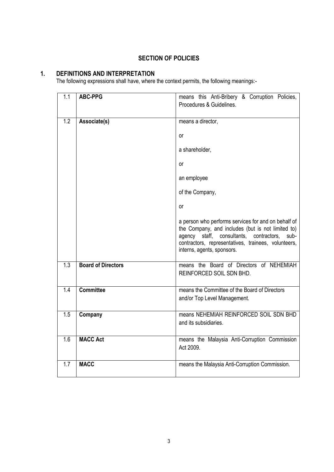## **SECTION OF POLICIES**

## **1. DEFINITIONS AND INTERPRETATION**

The following expressions shall have, where the context permits, the following meanings:-

| $\overline{1.1}$ | <b>ABC-PPG</b>            | means this Anti-Bribery & Corruption Policies,<br>Procedures & Guidelines.                                                                                                                                                                          |
|------------------|---------------------------|-----------------------------------------------------------------------------------------------------------------------------------------------------------------------------------------------------------------------------------------------------|
| 1.2              | Associate(s)              | means a director,                                                                                                                                                                                                                                   |
|                  |                           | or                                                                                                                                                                                                                                                  |
|                  |                           | a shareholder,                                                                                                                                                                                                                                      |
|                  |                           | or                                                                                                                                                                                                                                                  |
|                  |                           | an employee                                                                                                                                                                                                                                         |
|                  |                           | of the Company,                                                                                                                                                                                                                                     |
|                  |                           | or                                                                                                                                                                                                                                                  |
|                  |                           | a person who performs services for and on behalf of<br>the Company, and includes (but is not limited to)<br>staff, consultants, contractors,<br>sub-<br>agency<br>contractors, representatives, trainees, volunteers,<br>interns, agents, sponsors. |
| $\overline{1.3}$ | <b>Board of Directors</b> | means the Board of Directors of NEHEMIAH<br>REINFORCED SOIL SDN BHD.                                                                                                                                                                                |
| 1.4              | <b>Committee</b>          | means the Committee of the Board of Directors<br>and/or Top Level Management.                                                                                                                                                                       |
| 1.5              | Company                   | means NEHEMIAH REINFORCED SOIL SDN BHD<br>and its subsidiaries.                                                                                                                                                                                     |
| 1.6              | <b>MACC Act</b>           | means the Malaysia Anti-Corruption Commission<br>Act 2009.                                                                                                                                                                                          |
| 1.7              | <b>MACC</b>               | means the Malaysia Anti-Corruption Commission.                                                                                                                                                                                                      |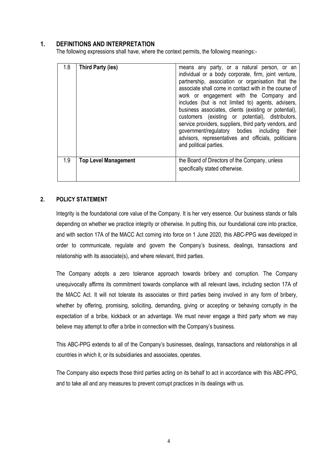## **1. DEFINITIONS AND INTERPRETATION**

The following expressions shall have, where the context permits, the following meanings:-

| 1.8 | Third Party (ies)           | means any party, or a natural person, or an<br>individual or a body corporate, firm, joint venture,<br>partnership, association or organisation that the<br>associate shall come in contact with in the course of<br>work or engagement with the Company and<br>includes (but is not limited to) agents, advisers,<br>business associates, clients (existing or potential),<br>customers (existing or potential), distributors,<br>service providers, suppliers, third party vendors, and<br>government/regulatory bodies including<br>their<br>advisors, representatives and officials, politicians<br>and political parties. |
|-----|-----------------------------|--------------------------------------------------------------------------------------------------------------------------------------------------------------------------------------------------------------------------------------------------------------------------------------------------------------------------------------------------------------------------------------------------------------------------------------------------------------------------------------------------------------------------------------------------------------------------------------------------------------------------------|
| 1.9 | <b>Top Level Management</b> | the Board of Directors of the Company, unless<br>specifically stated otherwise.                                                                                                                                                                                                                                                                                                                                                                                                                                                                                                                                                |

### **2. POLICY STATEMENT**

Integrity is the foundational core value of the Company. It is her very essence. Our business stands or falls depending on whether we practice integrity or otherwise. In putting this, our foundational core into practice, and with section 17A of the MACC Act coming into force on 1 June 2020, this ABC-PPG was developed in order to communicate, regulate and govern the Company's business, dealings, transactions and relationship with its associate(s), and where relevant, third parties.

The Company adopts a zero tolerance approach towards bribery and corruption. The Company unequivocally affirms its commitment towards compliance with all relevant laws, including section 17A of the MACC Act. It will not tolerate its associates or third parties being involved in any form of bribery, whether by offering, promising, soliciting, demanding, giving or accepting or behaving corruptly in the expectation of a bribe, kickback or an advantage. We must never engage a third party whom we may believe may attempt to offer a bribe in connection with the Company's business.

This ABC-PPG extends to all of the Company's businesses, dealings, transactions and relationships in all countries in which it, or its subsidiaries and associates, operates.

The Company also expects those third parties acting on its behalf to act in accordance with this ABC-PPG, and to take all and any measures to prevent corrupt practices in its dealings with us.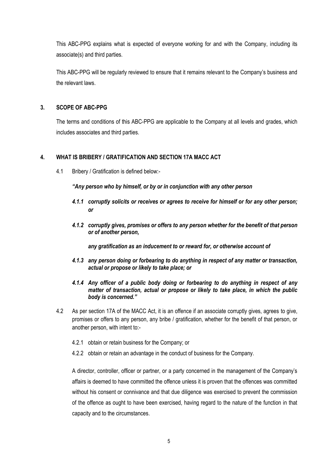This ABC-PPG explains what is expected of everyone working for and with the Company, including its associate(s) and third parties.

This ABC-PPG will be regularly reviewed to ensure that it remains relevant to the Company's business and the relevant laws.

## **3. SCOPE OF ABC-PPG**

The terms and conditions of this ABC-PPG are applicable to the Company at all levels and grades, which includes associates and third parties.

## **4. WHAT IS BRIBERY / GRATIFICATION AND SECTION 17A MACC ACT**

4.1 Bribery / Gratification is defined below:-

*"Any person who by himself, or by or in conjunction with any other person*

- *4.1.1 corruptly solicits or receives or agrees to receive for himself or for any other person; or*
- *4.1.2 corruptly gives, promises or offers to any person whether for the benefit of that person or of another person,*

*any gratification as an inducement to or reward for, or otherwise account of* 

- *4.1.3 any person doing or forbearing to do anything in respect of any matter or transaction, actual or propose or likely to take place; or*
- *4.1.4 Any officer of a public body doing or forbearing to do anything in respect of any matter of transaction, actual or propose or likely to take place, in which the public body is concerned."*
- 4.2 As per section 17A of the MACC Act, it is an offence if an associate corruptly gives, agrees to give, promises or offers to any person, any bribe / gratification, whether for the benefit of that person, or another person, with intent to:-
	- 4.2.1 obtain or retain business for the Company; or
	- 4.2.2 obtain or retain an advantage in the conduct of business for the Company.

A director, controller, officer or partner, or a party concerned in the management of the Company's affairs is deemed to have committed the offence unless it is proven that the offences was committed without his consent or connivance and that due diligence was exercised to prevent the commission of the offence as ought to have been exercised, having regard to the nature of the function in that capacity and to the circumstances.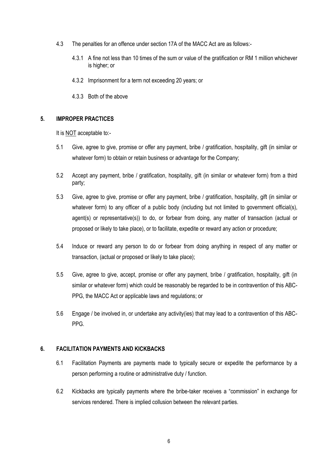- 4.3 The penalties for an offence under section 17A of the MACC Act are as follows:-
	- 4.3.1 A fine not less than 10 times of the sum or value of the gratification or RM 1 million whichever is higher; or
	- 4.3.2 Imprisonment for a term not exceeding 20 years; or
	- 4.3.3 Both of the above

#### **5. IMPROPER PRACTICES**

It is NOT acceptable to:-

- 5.1 Give, agree to give, promise or offer any payment, bribe / gratification, hospitality, gift (in similar or whatever form) to obtain or retain business or advantage for the Company;
- 5.2 Accept any payment, bribe / gratification, hospitality, gift (in similar or whatever form) from a third party;
- 5.3 Give, agree to give, promise or offer any payment, bribe / gratification, hospitality, gift (in similar or whatever form) to any officer of a public body (including but not limited to government official(s), agent(s) or representative(s)) to do, or forbear from doing, any matter of transaction (actual or proposed or likely to take place), or to facilitate, expedite or reward any action or procedure;
- 5.4 Induce or reward any person to do or forbear from doing anything in respect of any matter or transaction, (actual or proposed or likely to take place);
- 5.5 Give, agree to give, accept, promise or offer any payment, bribe / gratification, hospitality, gift (in similar or whatever form) which could be reasonably be regarded to be in contravention of this ABC-PPG, the MACC Act or applicable laws and regulations; or
- 5.6 Engage / be involved in, or undertake any activity(ies) that may lead to a contravention of this ABC-PPG.

#### **6. FACILITATION PAYMENTS AND KICKBACKS**

- 6.1 Facilitation Payments are payments made to typically secure or expedite the performance by a person performing a routine or administrative duty / function.
- 6.2 Kickbacks are typically payments where the bribe-taker receives a "commission" in exchange for services rendered. There is implied collusion between the relevant parties.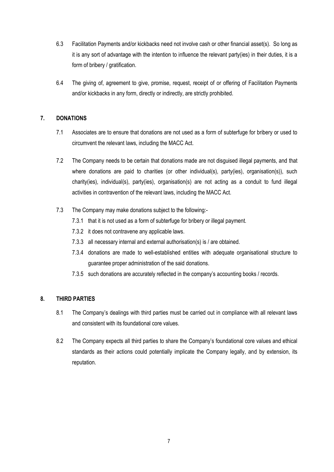- 6.3 Facilitation Payments and/or kickbacks need not involve cash or other financial asset(s). So long as it is any sort of advantage with the intention to influence the relevant party(ies) in their duties, it is a form of bribery / gratification.
- 6.4 The giving of, agreement to give, promise, request, receipt of or offering of Facilitation Payments and/or kickbacks in any form, directly or indirectly, are strictly prohibited.

## **7. DONATIONS**

- 7.1 Associates are to ensure that donations are not used as a form of subterfuge for bribery or used to circumvent the relevant laws, including the MACC Act.
- 7.2 The Company needs to be certain that donations made are not disguised illegal payments, and that where donations are paid to charities (or other individual(s), party(ies), organisation(s)), such charity(ies), individual(s), party(ies), organisation(s) are not acting as a conduit to fund illegal activities in contravention of the relevant laws, including the MACC Act.
- 7.3 The Company may make donations subject to the following:-
	- 7.3.1 that it is not used as a form of subterfuge for bribery or illegal payment.
	- 7.3.2 it does not contravene any applicable laws.
	- 7.3.3 all necessary internal and external authorisation(s) is / are obtained.
	- 7.3.4 donations are made to well-established entities with adequate organisational structure to guarantee proper administration of the said donations.
	- 7.3.5 such donations are accurately reflected in the company's accounting books / records.

## **8. THIRD PARTIES**

- 8.1 The Company's dealings with third parties must be carried out in compliance with all relevant laws and consistent with its foundational core values.
- 8.2 The Company expects all third parties to share the Company's foundational core values and ethical standards as their actions could potentially implicate the Company legally, and by extension, its reputation.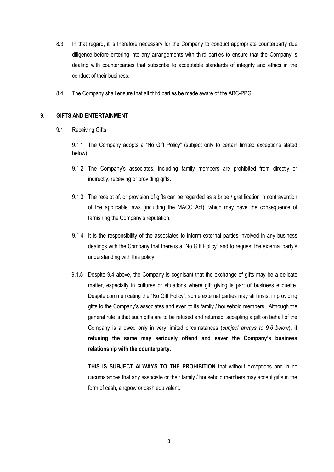- 8.3 In that regard, it is therefore necessary for the Company to conduct appropriate counterparty due diligence before entering into any arrangements with third parties to ensure that the Company is dealing with counterparties that subscribe to acceptable standards of integrity and ethics in the conduct of their business.
- 8.4 The Company shall ensure that all third parties be made aware of the ABC-PPG.

## **9. GIFTS AND ENTERTAINMENT**

9.1 Receiving Gifts

9.1.1 The Company adopts a "No Gift Policy" (subject only to certain limited exceptions stated below).

- 9.1.2 The Company's associates, including family members are prohibited from directly or indirectly, receiving or providing gifts.
- 9.1.3 The receipt of, or provision of gifts can be regarded as a bribe / gratification in contravention of the applicable laws (including the MACC Act), which may have the consequence of tarnishing the Company's reputation.
- 9.1.4 It is the responsibility of the associates to inform external parties involved in any business dealings with the Company that there is a "No Gift Policy" and to request the external party's understanding with this policy.
- 9.1.5 Despite 9.4 above, the Company is cognisant that the exchange of gifts may be a delicate matter, especially in cultures or situations where gift giving is part of business etiquette. Despite communicating the "No Gift Policy", some external parties may still insist in providing gifts to the Company's associates and even to its family / household members. Although the general rule is that such gifts are to be refused and returned, accepting a gift on behalf of the Company is allowed only in very limited circumstances (*subject always to 9.6 below*), **if refusing the same may seriously offend and sever the Company's business relationship with the counterparty.**

**THIS IS SUBJECT ALWAYS TO THE PROHIBITION** that without exceptions and in no circumstances that any associate or their family / household members may accept gifts in the form of cash, angpow or cash equivalent.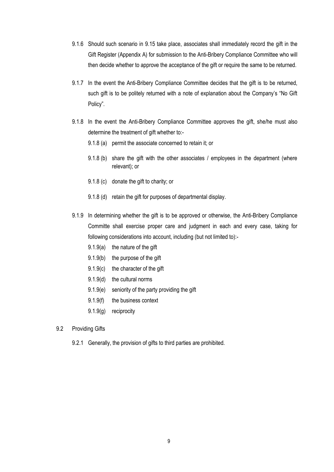- 9.1.6 Should such scenario in 9.15 take place, associates shall immediately record the gift in the Gift Register (Appendix A) for submission to the Anti-Bribery Compliance Committee who will then decide whether to approve the acceptance of the gift or require the same to be returned.
- 9.1.7 In the event the Anti-Bribery Compliance Committee decides that the gift is to be returned, such gift is to be politely returned with a note of explanation about the Company's "No Gift Policy".
- 9.1.8 In the event the Anti-Bribery Compliance Committee approves the gift, she/he must also determine the treatment of gift whether to:-
	- 9.1.8 (a) permit the associate concerned to retain it; or
	- 9.1.8 (b) share the gift with the other associates / employees in the department (where relevant); or
	- 9.1.8 (c) donate the gift to charity; or
	- 9.1.8 (d) retain the gift for purposes of departmental display.
- 9.1.9 In determining whether the gift is to be approved or otherwise, the Anti-Bribery Compliance Committe shall exercise proper care and judgment in each and every case, taking for following considerations into account, including (but not limited to):-
	- 9.1.9(a) the nature of the gift
	- 9.1.9(b) the purpose of the gift
	- 9.1.9(c) the character of the gift
	- 9.1.9(d) the cultural norms
	- 9.1.9(e) seniority of the party providing the gift
	- 9.1.9(f) the business context
	- 9.1.9(g) reciprocity
- 9.2 Providing Gifts
	- 9.2.1 Generally, the provision of gifts to third parties are prohibited.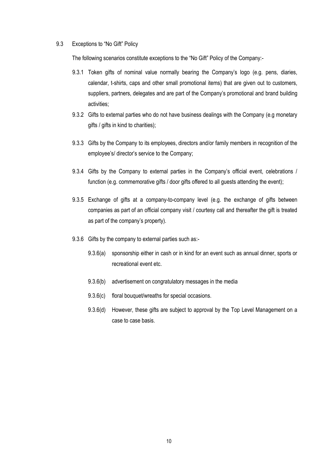#### 9.3 Exceptions to "No Gift" Policy

The following scenarios constitute exceptions to the "No Gift" Policy of the Company:-

- 9.3.1 Token gifts of nominal value normally bearing the Company's logo (e.g. pens, diaries, calendar, t-shirts, caps and other small promotional items) that are given out to customers, suppliers, partners, delegates and are part of the Company's promotional and brand building activities;
- 9.3.2 Gifts to external parties who do not have business dealings with the Company (e.g monetary gifts / gifts in kind to charities);
- 9.3.3 Gifts by the Company to its employees, directors and/or family members in recognition of the employee's/ director's service to the Company;
- 9.3.4 Gifts by the Company to external parties in the Company's official event, celebrations / function (e.g. commemorative gifts / door gifts offered to all quests attending the event);
- 9.3.5 Exchange of gifts at a company-to-company level (e.g. the exchange of gifts between companies as part of an official company visit / courtesy call and thereafter the gift is treated as part of the company's property).
- 9.3.6 Gifts by the company to external parties such as:-
	- 9.3.6(a) sponsorship either in cash or in kind for an event such as annual dinner, sports or recreational event etc.
	- 9.3.6(b) advertisement on congratulatory messages in the media
	- 9.3.6(c) floral bouquet/wreaths for special occasions.
	- 9.3.6(d) However, these gifts are subject to approval by the Top Level Management on a case to case basis.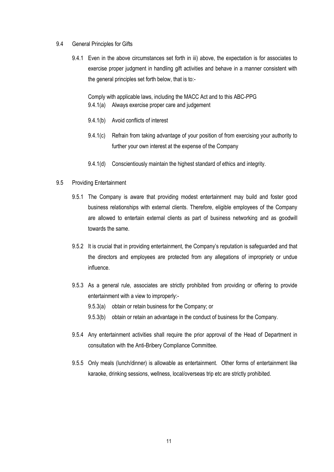- 9.4 General Principles for Gifts
	- 9.4.1 Even in the above circumstances set forth in iii) above, the expectation is for associates to exercise proper judgment in handling gift activities and behave in a manner consistent with the general principles set forth below, that is to:-

Comply with applicable laws, including the MACC Act and to this ABC-PPG 9.4.1(a) Always exercise proper care and judgement

- 9.4.1(b) Avoid conflicts of interest
- 9.4.1(c) Refrain from taking advantage of your position of from exercising your authority to further your own interest at the expense of the Company
- 9.4.1(d) Conscientiously maintain the highest standard of ethics and integrity.

#### 9.5 Providing Entertainment

- 9.5.1 The Company is aware that providing modest entertainment may build and foster good business relationships with external clients. Therefore, eligible employees of the Company are allowed to entertain external clients as part of business networking and as goodwill towards the same.
- 9.5.2 It is crucial that in providing entertainment, the Company's reputation is safeguarded and that the directors and employees are protected from any allegations of impropriety or undue influence.
- 9.5.3 As a general rule, associates are strictly prohibited from providing or offering to provide entertainment with a view to improperly:-
	- 9.5.3(a) obtain or retain business for the Company; or
	- 9.5.3(b) obtain or retain an advantage in the conduct of business for the Company.
- 9.5.4 Any entertainment activities shall require the prior approval of the Head of Department in consultation with the Anti-Bribery Compliance Committee.
- 9.5.5 Only meals (lunch/dinner) is allowable as entertainment. Other forms of entertainment like karaoke, drinking sessions, wellness, local/overseas trip etc are strictly prohibited.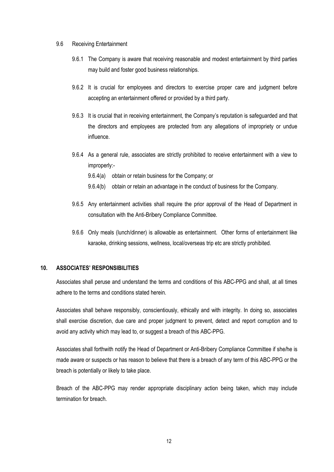#### 9.6 Receiving Entertainment

- 9.6.1 The Company is aware that receiving reasonable and modest entertainment by third parties may build and foster good business relationships.
- 9.6.2 It is crucial for employees and directors to exercise proper care and judgment before accepting an entertainment offered or provided by a third party.
- 9.6.3 It is crucial that in receiving entertainment, the Company's reputation is safeguarded and that the directors and employees are protected from any allegations of impropriety or undue influence.
- 9.6.4 As a general rule, associates are strictly prohibited to receive entertainment with a view to improperly:-
	- 9.6.4(a) obtain or retain business for the Company; or
	- 9.6.4(b) obtain or retain an advantage in the conduct of business for the Company.
- 9.6.5 Any entertainment activities shall require the prior approval of the Head of Department in consultation with the Anti-Bribery Compliance Committee.
- 9.6.6 Only meals (lunch/dinner) is allowable as entertainment. Other forms of entertainment like karaoke, drinking sessions, wellness, local/overseas trip etc are strictly prohibited.

### **10. ASSOCIATES' RESPONSIBILITIES**

Associates shall peruse and understand the terms and conditions of this ABC-PPG and shall, at all times adhere to the terms and conditions stated herein.

Associates shall behave responsibly, conscientiously, ethically and with integrity. In doing so, associates shall exercise discretion, due care and proper judgment to prevent, detect and report corruption and to avoid any activity which may lead to, or suggest a breach of this ABC-PPG.

Associates shall forthwith notify the Head of Department or Anti-Bribery Compliance Committee if she/he is made aware or suspects or has reason to believe that there is a breach of any term of this ABC-PPG or the breach is potentially or likely to take place.

Breach of the ABC-PPG may render appropriate disciplinary action being taken, which may include termination for breach.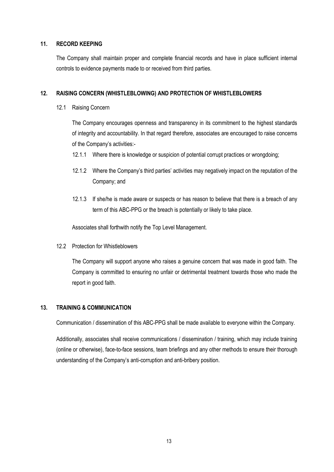#### **11. RECORD KEEPING**

The Company shall maintain proper and complete financial records and have in place sufficient internal controls to evidence payments made to or received from third parties.

#### **12. RAISING CONCERN (WHISTLEBLOWING) AND PROTECTION OF WHISTLEBLOWERS**

12.1 Raising Concern

The Company encourages openness and transparency in its commitment to the highest standards of integrity and accountability. In that regard therefore, associates are encouraged to raise concerns of the Company's activities:-

- 12.1.1 Where there is knowledge or suspicion of potential corrupt practices or wrongdoing;
- 12.1.2 Where the Company's third parties' activities may negatively impact on the reputation of the Company; and
- 12.1.3 If she/he is made aware or suspects or has reason to believe that there is a breach of any term of this ABC-PPG or the breach is potentially or likely to take place.

Associates shall forthwith notify the Top Level Management.

12.2 Protection for Whistleblowers

The Company will support anyone who raises a genuine concern that was made in good faith. The Company is committed to ensuring no unfair or detrimental treatment towards those who made the report in good faith.

### **13. TRAINING & COMMUNICATION**

Communication / dissemination of this ABC-PPG shall be made available to everyone within the Company.

Additionally, associates shall receive communications / dissemination / training, which may include training (online or otherwise), face-to-face sessions, team briefings and any other methods to ensure their thorough understanding of the Company's anti-corruption and anti-bribery position.